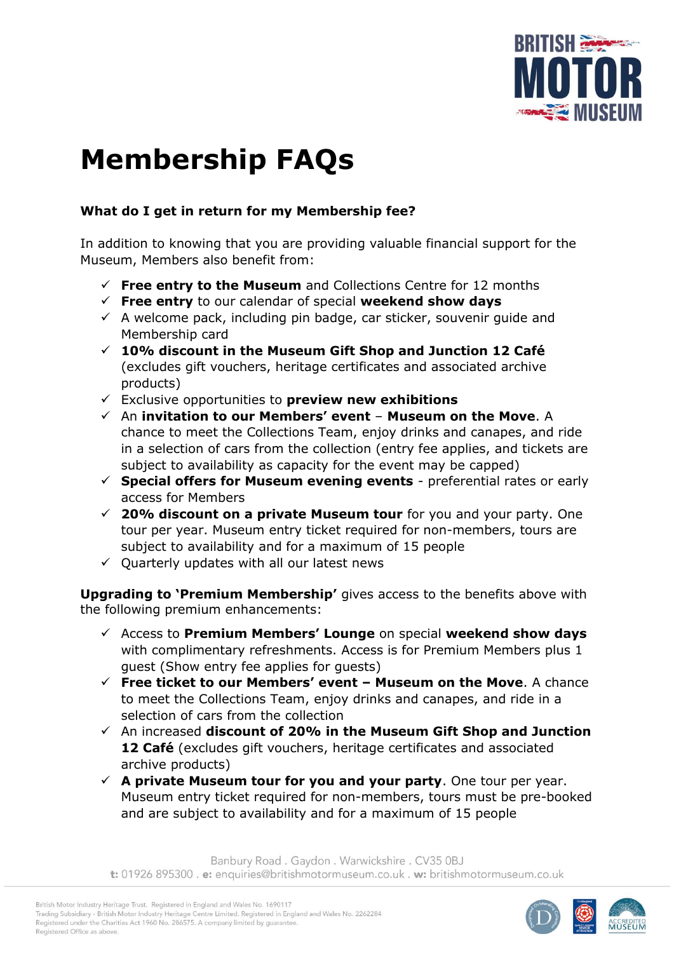

# **Membership FAQs**

# **What do I get in return for my Membership fee?**

In addition to knowing that you are providing valuable financial support for the Museum, Members also benefit from:

- ✓ **Free entry to the Museum** and Collections Centre for 12 months
- ✓ **Free entry** to our calendar of special **weekend show days**
- $\checkmark$  A welcome pack, including pin badge, car sticker, souvenir guide and Membership card
- ✓ **10% discount in the Museum Gift Shop and Junction 12 Café** (excludes gift vouchers, heritage certificates and associated archive products)
- ✓ Exclusive opportunities to **preview new exhibitions**
- ✓ An **invitation to our Members' event Museum on the Move**. A chance to meet the Collections Team, enjoy drinks and canapes, and ride in a selection of cars from the collection (entry fee applies, and tickets are subject to availability as capacity for the event may be capped)
- ✓ **Special offers for Museum evening events** preferential rates or early access for Members
- ✓ **20% discount on a private Museum tour** for you and your party. One tour per year. Museum entry ticket required for non-members, tours are subject to availability and for a maximum of 15 people
- $\checkmark$  Quarterly updates with all our latest news

**Upgrading to 'Premium Membership'** gives access to the benefits above with the following premium enhancements:

- ✓ Access to **Premium Members' Lounge** on special **weekend show days** with complimentary refreshments. Access is for Premium Members plus 1 guest (Show entry fee applies for guests)
- ✓ **Free ticket to our Members' event – Museum on the Move**. A chance to meet the Collections Team, enjoy drinks and canapes, and ride in a selection of cars from the collection
- ✓ An increased **discount of 20% in the Museum Gift Shop and Junction 12 Café** (excludes gift vouchers, heritage certificates and associated archive products)
- $\checkmark$  A private Museum tour for you and your party. One tour per year. Museum entry ticket required for non-members, tours must be pre-booked and are subject to availability and for a maximum of 15 people

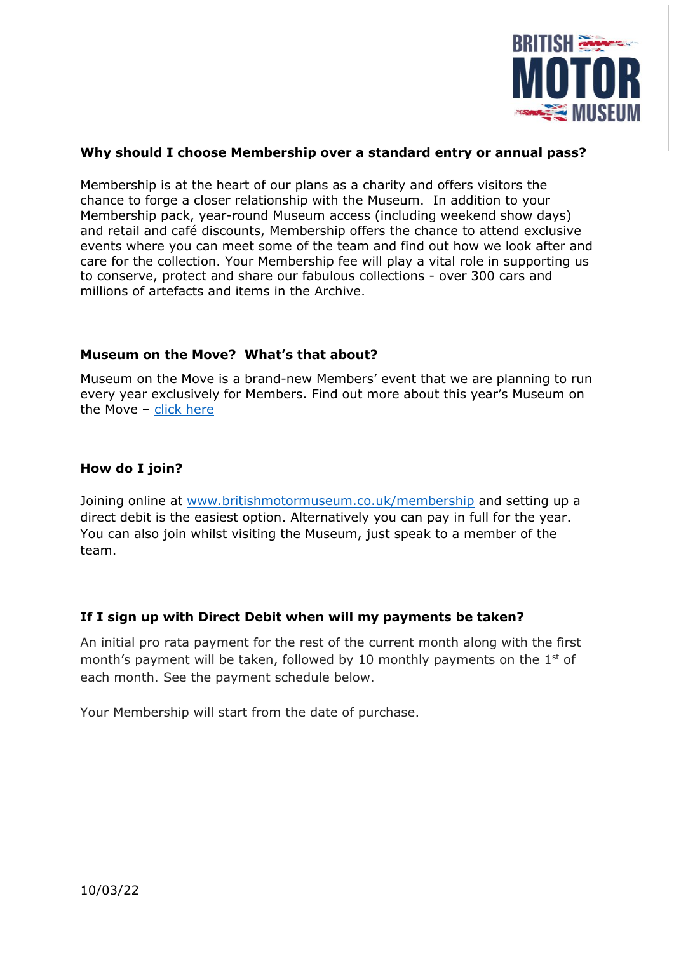

# **Why should I choose Membership over a standard entry or annual pass?**

Membership is at the heart of our plans as a charity and offers visitors the chance to forge a closer relationship with the Museum. In addition to your Membership pack, year-round Museum access (including weekend show days) and retail and café discounts, Membership offers the chance to attend exclusive events where you can meet some of the team and find out how we look after and care for the collection. Your Membership fee will play a vital role in supporting us to conserve, protect and share our fabulous collections - over 300 cars and millions of artefacts and items in the Archive.

## **Museum on the Move? What's that about?**

Museum on the Move is a brand-new Members' event that we are planning to run every year exclusively for Members. Find out more about this year's Museum on the Move – [click here](https://www.britishmotormuseum.co.uk/whats-on/museum-on-the-move)

## **How do I join?**

Joining online at [www.britishmotormuseum.co.uk/membership](http://www.britishmotormuseum.co.uk/membership) and setting up a direct debit is the easiest option. Alternatively you can pay in full for the year. You can also join whilst visiting the Museum, just speak to a member of the team.

#### **If I sign up with Direct Debit when will my payments be taken?**

An initial pro rata payment for the rest of the current month along with the first month's payment will be taken, followed by 10 monthly payments on the  $1<sup>st</sup>$  of each month. See the payment schedule below.

Your Membership will start from the date of purchase.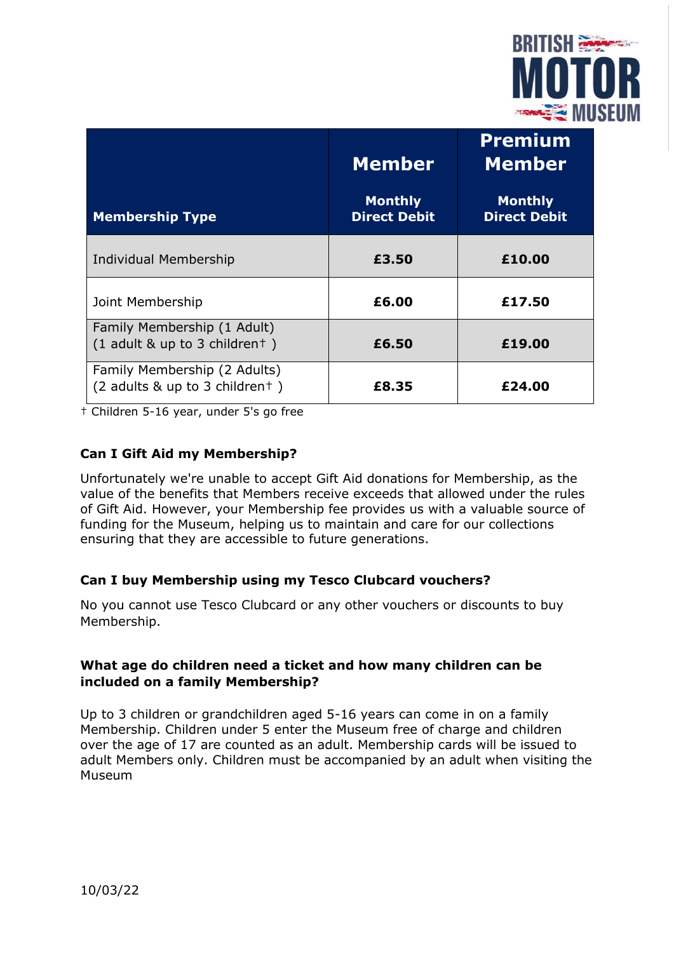

|                                                                | <b>Member</b>                         | <b>Premium</b><br><b>Member</b>       |
|----------------------------------------------------------------|---------------------------------------|---------------------------------------|
| <b>Membership Type</b>                                         | <b>Monthly</b><br><b>Direct Debit</b> | <b>Monthly</b><br><b>Direct Debit</b> |
| Individual Membership                                          | £3.50                                 | £10.00                                |
| Joint Membership                                               | £6.00                                 | £17.50                                |
| Family Membership (1 Adult)<br>$(1$ adult & up to 3 childrent) | £6.50                                 | £19.00                                |
| Family Membership (2 Adults)<br>(2 adults & up to 3 childrent) | £8.35                                 | £24.00                                |

† Children 5-16 year, under 5's go free

# **Can I Gift Aid my Membership?**

Unfortunately we're unable to accept Gift Aid donations for Membership, as the value of the benefits that Members receive exceeds that allowed under the rules of Gift Aid. However, your Membership fee provides us with a valuable source of funding for the Museum, helping us to maintain and care for our collections ensuring that they are accessible to future generations.

## **Can I buy Membership using my Tesco Clubcard vouchers?**

No you cannot use Tesco Clubcard or any other vouchers or discounts to buy Membership.

## **What age do children need a ticket and how many children can be included on a family Membership?**

Up to 3 children or grandchildren aged 5-16 years can come in on a family Membership. Children under 5 enter the Museum free of charge and children over the age of 17 are counted as an adult. Membership cards will be issued to adult Members only. Children must be accompanied by an adult when visiting the Museum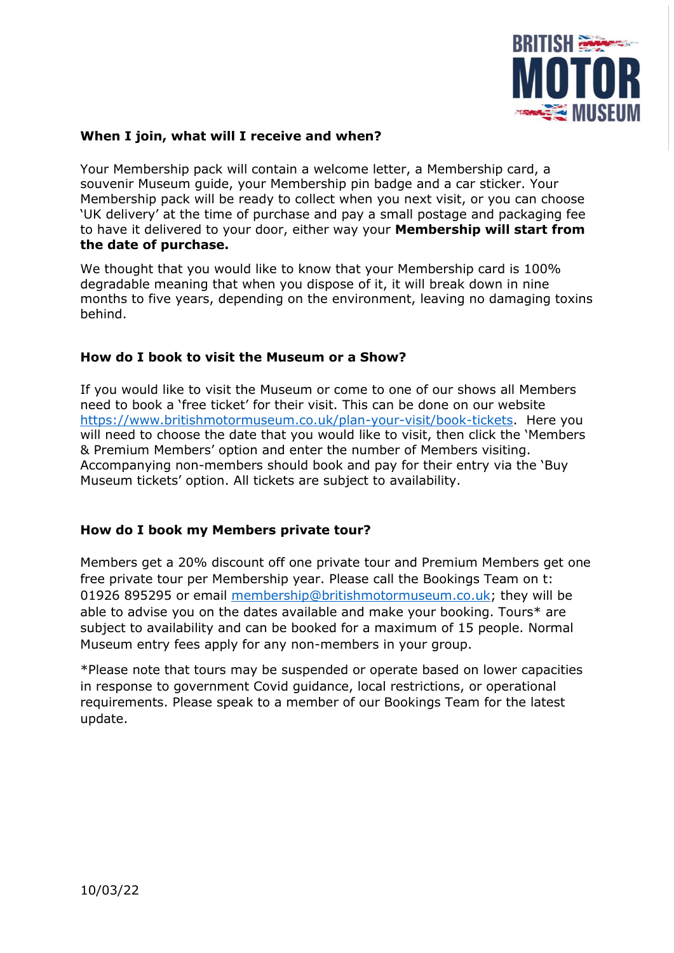

## **When I join, what will I receive and when?**

Your Membership pack will contain a welcome letter, a Membership card, a souvenir Museum guide, your Membership pin badge and a car sticker. Your Membership pack will be ready to collect when you next visit, or you can choose 'UK delivery' at the time of purchase and pay a small postage and packaging fee to have it delivered to your door, either way your **Membership will start from the date of purchase.**

We thought that you would like to know that your Membership card is 100% degradable meaning that when you dispose of it, it will break down in nine months to five years, depending on the environment, leaving no damaging toxins behind.

## **How do I book to visit the Museum or a Show?**

If you would like to visit the Museum or come to one of our shows all Members need to book a 'free ticket' for their visit. This can be done on our website https://www.britishmotormuseum.co.uk/plan-your-visit/book-tickets. Here you will need to choose the date that you would like to visit, then click the 'Members & Premium Members' option and enter the number of Members visiting. Accompanying non-members should book and pay for their entry via the 'Buy Museum tickets' option. All tickets are subject to availability.

# **How do I book my Members private tour?**

Members get a 20% discount off one private tour and Premium Members get one free private tour per Membership year. Please call the Bookings Team on t: 01926 895295 or email [membership@britishmotormuseum.co.uk;](mailto:membership@britishmotormuseum.co.uk) they will be able to advise you on the dates available and make your booking. Tours\* are subject to availability and can be booked for a maximum of 15 people. Normal Museum entry fees apply for any non-members in your group.

\*Please note that tours may be suspended or operate based on lower capacities in response to government Covid guidance, local restrictions, or operational requirements. Please speak to a member of our Bookings Team for the latest update.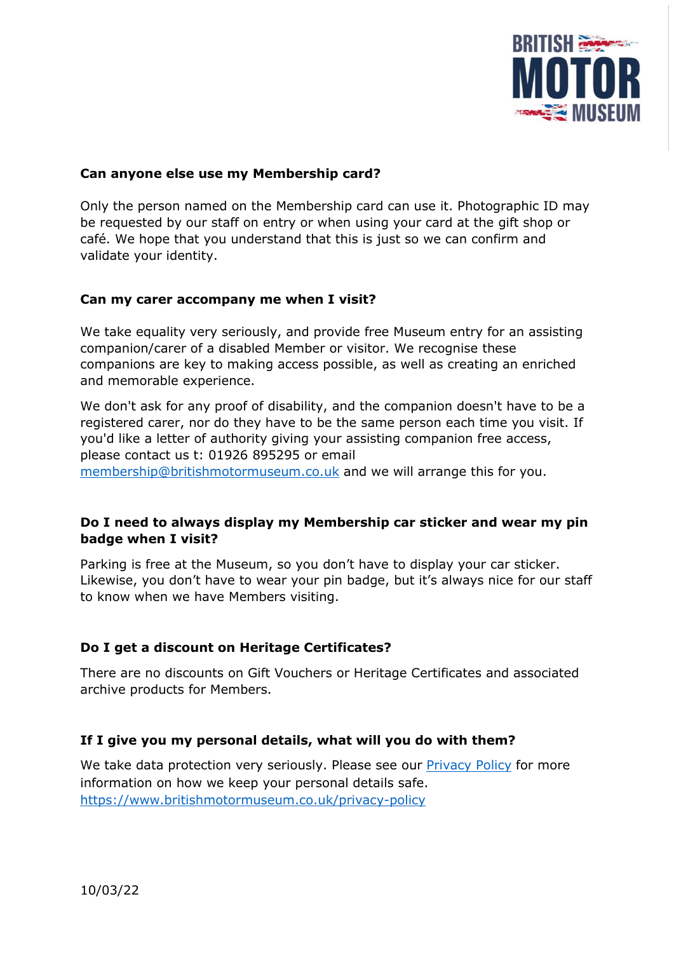

## **Can anyone else use my Membership card?**

Only the person named on the Membership card can use it. Photographic ID may be requested by our staff on entry or when using your card at the gift shop or café. We hope that you understand that this is just so we can confirm and validate your identity.

## **Can my carer accompany me when I visit?**

We take equality very seriously, and provide free Museum entry for an assisting companion/carer of a disabled Member or visitor. We recognise these companions are key to making access possible, as well as creating an enriched and memorable experience.

We don't ask for any proof of disability, and the companion doesn't have to be a registered carer, nor do they have to be the same person each time you visit. If you'd like a letter of authority giving your assisting companion free access, please contact us t: 01926 895295 or email [membership@britishmotormuseum.co.uk](mailto:membership@britishmotormuseum.co.uk) and we will arrange this for you.

# **Do I need to always display my Membership car sticker and wear my pin badge when I visit?**

Parking is free at the Museum, so you don't have to display your car sticker. Likewise, you don't have to wear your pin badge, but it's always nice for our staff to know when we have Members visiting.

# **Do I get a discount on Heritage Certificates?**

There are no discounts on Gift Vouchers or Heritage Certificates and associated archive products for Members.

## **If I give you my personal details, what will you do with them?**

We take data protection very seriously. Please see our [Privacy Policy](https://www.britishmotormuseum.co.uk/privacy-policy) for more information on how we keep your personal details safe. <https://www.britishmotormuseum.co.uk/privacy-policy>